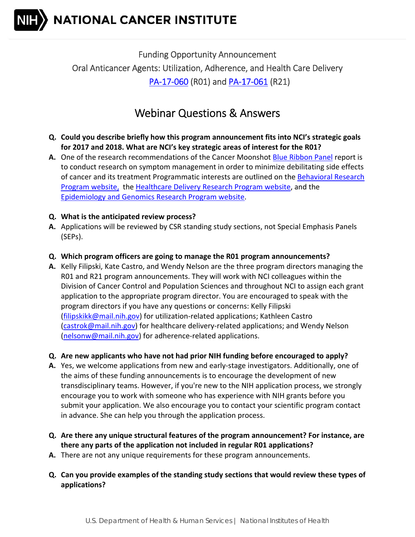

 Funding Opportunity Announcement Oral Anticancer Agents: Utilization, Adherence, and Health Care Delivery PA-17-060 (R01) and PA-17-061 (R21)

## Webinar Questions & Answers

- Q. Could you describe briefly how this program announcement fits into NCI's strategic goals for 2017 and 2018. What are NCI's key strategic areas of interest for the R01?
- **A.** One of the research recommendations of the Cancer Moonshot **Blue Ribbon Panel** report is to conduct research on symptom management in order to minimize debilitating side effects of cancer and its treatment Programmatic interests are outlined on the <u>Behavioral Research</u> Program website, the Healthcare Delivery Research Program website, and the Epidemiology and Genomics Research Program website.
- **Q. What is the anticipated review process?**
- **A.** Applications will be reviewed by CSR standing study sections, not Special Emphasis Panels (SEPs).
- **Q. Which program officers are going to manage the R01 program announcements?**
- **A.** Kelly Filipski, Kate Castro, and Wendy Nelson are the three program directors managing the R01 and R21 program announcements. They will work with NCI colleagues within the Division of Cancer Control and Population Sciences and throughout NCI to assign each grant application to the appropriate program director. You are encouraged to speak with the program directors if you have any questions or concerns: Kelly Filipski (filipskikk@mail.nih.gov) for utilization-related applications; Kathleen Castro (castrok@mail.nih.gov) for healthcare delivery-related applications; and Wendy Nelson (nelsonw@mail.nih.gov) for adherence‐related applications.
- Q. Are new applicants who have not had prior NIH funding before encouraged to apply?
- A. Yes, we welcome applications from new and early-stage investigators. Additionally, one of the aims of these funding announcements is to encourage the development of new transdisciplinary teams. However, if you're new to the NIH application process, we strongly encourage you to work with someone who has experience with NIH grants before you submit your application. We also encourage you to contact your scientific program contact in advance. She can help you through the application process.
- Q. Are there any unique structural features of the program announcement? For instance, are  **there any parts of the application not included in regular R01 applications?**
- **A.** There are not any unique requirements for these program announcements.
- Q. Can you provide examples of the standing study sections that would review these types of **applications?**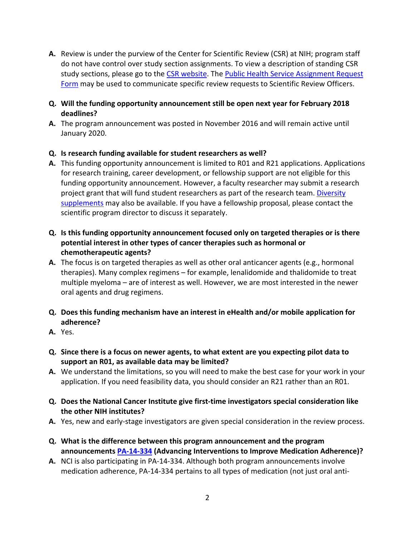- **A.** Review is under the purview of the Center for Scientific Review (CSR) at NIH; program staff do not have control over study section assignments. To view a description of standing CSR study sections, please go to the CSR website. The Public Health Service Assignment Request Form may be used to communicate specific review requests to Scientific Review Officers.
- **Q. Will the funding opportunity announcement still be open next year for February 2018 deadlines?**
- A. The program announcement was posted in November 2016 and will remain active until January 2020.

## **Q. Is research funding available for student researchers as well?**

- **A.** This funding opportunity announcement is limited to R01 and R21 applications. Applications for research training, career development, or fellowship support are not eligible for this funding opportunity announcement. However, a faculty researcher may submit a research project grant that will fund student researchers as part of the research team. *Diversity* supplements may also be available. If you have a fellowship proposal, please contact the scientific program director to discuss it separately.
- Q. Is this funding opportunity announcement focused only on targeted therapies or is there  **potential interest in other types of cancer therapies such as hormonal or chemotherapeutic agents?**
- A. The focus is on targeted therapies as well as other oral anticancer agents (e.g., hormonal therapies). Many complex regimens – for example, lenalidomide and thalidomide to treat multiple myeloma – are of interest as well. However, we are most interested in the newer oral agents and drug regimens.
- **Q. Does this funding mechanism have an interest in eHealth and/or mobile application for adherence?**
- **A.** Yes.
- Q. Since there is a focus on newer agents, to what extent are you expecting pilot data to  **support an R01, as available data may be limited?**
- **A.** We understand the limitations, so you will need to make the best case for your work in your application. If you need feasibility data, you should consider an R21 rather than an R01.
- Q. Does the National Cancer Institute give first-time investigators special consideration like  **the other NIH institutes?**
- A. Yes, new and early-stage investigators are given special consideration in the review process.
- **Q. What is the difference between this program announcement and the program announcements PA‐14‐334 (Advancing Interventions to Improve Medication Adherence)?**
- **A.** NCI is also participating in PA-14-334. Although both program announcements involve medication adherence, PA‐14‐334 pertains to all types of medication (not just oral anti‐